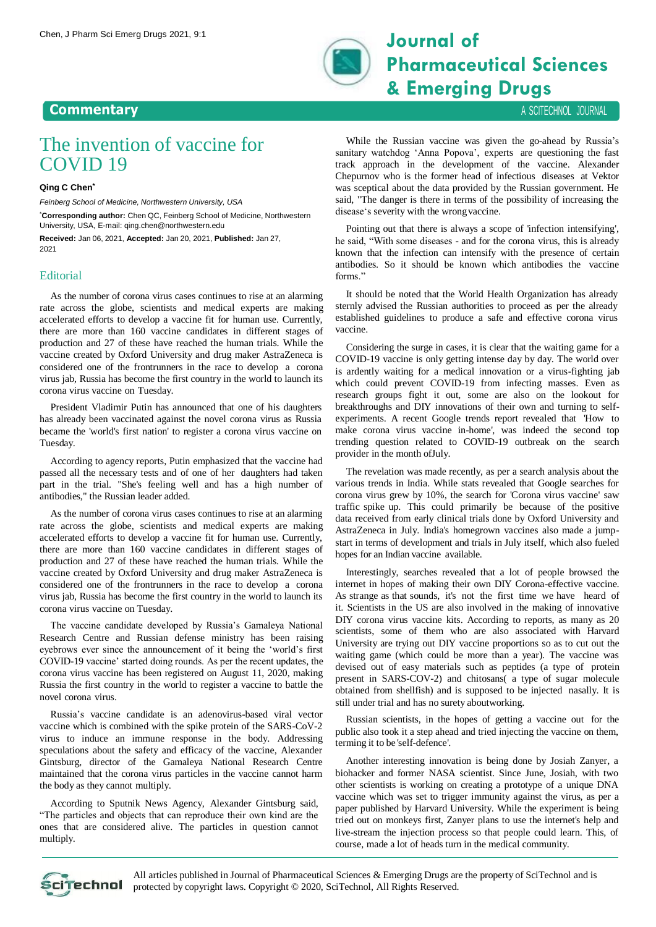

## **Pharmaceutical Sciences & Emerging Drugs**

**Commentary** A SCITECHNOL JOURNAL

## The invention of vaccine for COVID 19

## **Qing C Chen\***

*Feinberg School of Medicine, Northwestern University, USA*

\***Corresponding author:** Chen QC, Feinberg School of Medicine, Northwestern University, USA, E-mail: [qing.chen@northwestern.edu](mailto:qing.chen@northwestern.edu)

**Received:** Jan 06, 2021, **Accepted:** Jan 20, 2021, **Published:** Jan 27, 2021

## **Editorial**

As the number of corona virus cases continues to rise at an alarming rate across the globe, scientists and medical experts are making accelerated efforts to develop a vaccine fit for human use. Currently, there are more than 160 vaccine candidates in different stages of production and 27 of these have reached the human trials. While the vaccine created by Oxford University and drug maker AstraZeneca is considered one of the frontrunners in the race to develop a corona virus jab, Russia has become the first country in the world to launch its corona virus vaccine on Tuesday.

President Vladimir Putin has announced that one of his daughters has already been vaccinated against the novel corona virus as Russia became the 'world's first nation' to register a corona virus vaccine on Tuesday.

According to agency reports, Putin emphasized that the vaccine had passed all the necessary tests and of one of her daughters had taken part in the trial. "She's feeling well and has a high number of antibodies," the Russian leader added.

As the number of corona virus cases continues to rise at an alarming rate across the globe, scientists and medical experts are making accelerated efforts to develop a vaccine fit for human use. Currently, there are more than 160 vaccine candidates in different stages of production and 27 of these have reached the human trials. While the vaccine created by Oxford University and drug maker AstraZeneca is considered one of the frontrunners in the race to develop a corona virus jab, Russia has become the first country in the world to launch its corona virus vaccine on Tuesday.

The vaccine candidate developed by Russia's Gamaleya National Research Centre and Russian defense ministry has been raising eyebrows ever since the announcement of it being the 'world's first COVID-19 vaccine' started doing rounds. As per the recent updates, the corona virus vaccine has been registered on August 11, 2020, making Russia the first country in the world to register a vaccine to battle the novel corona virus.

Russia's vaccine candidate is an adenovirus-based viral vector vaccine which is combined with the spike protein of the SARS-CoV-2 virus to induce an immune response in the body. Addressing speculations about the safety and efficacy of the vaccine, Alexander Gintsburg, director of the Gamaleya National Research Centre maintained that the corona virus particles in the vaccine cannot harm the body as they cannot multiply.

According to Sputnik News Agency, Alexander Gintsburg said, "The particles and objects that can reproduce their own kind are the ones that are considered alive. The particles in question cannot multiply.

While the Russian vaccine was given the go-ahead by Russia's sanitary watchdog 'Anna Popova', experts are questioning the fast track approach in the development of the vaccine. Alexander Chepurnov who is the former head of infectious diseases at Vektor was sceptical about the data provided by the Russian government. He said, "The danger is there in terms of the possibility of increasing the disease's severity with the wrongvaccine.

Pointing out that there is always a scope of 'infection intensifying', he said, "With some diseases - and for the corona virus, this is already known that the infection can intensify with the presence of certain antibodies. So it should be known which antibodies the vaccine forms."

It should be noted that the World Health Organization has already sternly advised the Russian authorities to proceed as per the already established guidelines to produce a safe and effective corona virus vaccine.

Considering the surge in cases, it is clear that the waiting game for a COVID-19 vaccine is only getting intense day by day. The world over is ardently waiting for a medical innovation or a virus-fighting jab which could prevent COVID-19 from infecting masses. Even as research groups fight it out, some are also on the lookout for breakthroughs and DIY innovations of their own and turning to selfexperiments. A recent Google trends report revealed that 'How to make corona virus vaccine in-home', was indeed the second top trending question related to COVID-19 outbreak on the search provider in the month ofJuly.

The revelation was made recently, as per a search analysis about the various trends in India. While stats revealed that Google searches for corona virus grew by 10%, the search for 'Corona virus vaccine' saw traffic spike up. This could primarily be because of the positive data received from early clinical trials done by Oxford University and AstraZeneca in July. India's homegrown vaccines also made a jumpstart in terms of development and trials in July itself, which also fueled hopes for an Indian vaccine available.

Interestingly, searches revealed that a lot of people browsed the internet in hopes of making their own DIY Corona-effective vaccine. As strange as that sounds, it's not the first time we have heard of it. Scientists in the US are also involved in the making of innovative DIY corona virus vaccine kits. According to reports, as many as 20 scientists, some of them who are also associated with Harvard University are trying out DIY vaccine proportions so as to cut out the waiting game (which could be more than a year). The vaccine was devised out of easy materials such as peptides (a type of protein present in SARS-COV-2) and chitosans( a type of sugar molecule obtained from shellfish) and is supposed to be injected nasally. It is still under trial and has no surety aboutworking.

Russian scientists, in the hopes of getting a vaccine out for the public also took it a step ahead and tried injecting the vaccine on them, terming it to be 'self-defence'.

Another interesting innovation is being done by Josiah Zanyer, a biohacker and former NASA scientist. Since June, Josiah, with two other scientists is working on creating a prototype of a unique DNA vaccine which was set to trigger immunity against the virus, as per a paper published by Harvard University. While the experiment is being tried out on monkeys first, Zanyer plans to use the internet's help and live-stream the injection process so that people could learn. This, of course, made a lot of heads turn in the medical community.



All articles published in Journal of Pharmaceutical Sciences & Emerging Drugs are the property of SciTechnol and is protected by copyright laws. Copyright © 2020, SciTechnol, All Rights Reserved.